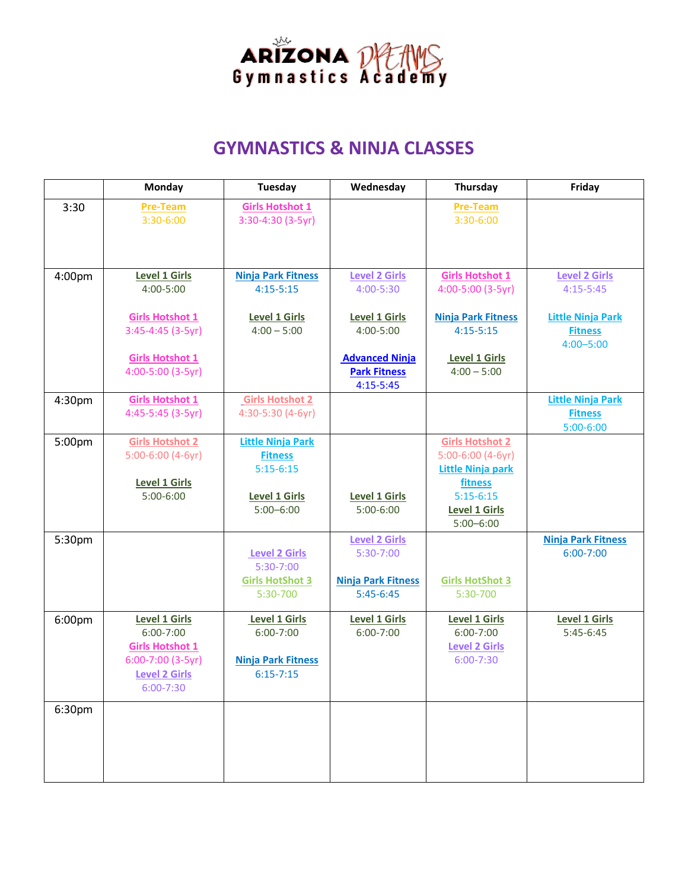

### **GYMNASTICS & NINJA CLASSES**

|        | Monday                 | Wednesday<br>Tuesday              |                                      | Thursday                                      | Friday                    |
|--------|------------------------|-----------------------------------|--------------------------------------|-----------------------------------------------|---------------------------|
| 3:30   | <b>Pre-Team</b>        | <b>Girls Hotshot 1</b>            |                                      | <b>Pre-Team</b>                               |                           |
|        | $3:30-6:00$            | 3:30-4:30 (3-5yr)                 |                                      | $3:30-6:00$                                   |                           |
|        |                        |                                   |                                      |                                               |                           |
|        |                        |                                   |                                      |                                               |                           |
| 4:00pm | <b>Level 1 Girls</b>   | <b>Ninja Park Fitness</b>         | <b>Level 2 Girls</b>                 | <b>Girls Hotshot 1</b>                        | <b>Level 2 Girls</b>      |
|        | 4:00-5:00              | $4:15 - 5:15$                     | 4:00-5:30                            | 4:00-5:00 (3-5yr)                             | $4:15 - 5:45$             |
|        | <b>Girls Hotshot 1</b> | <b>Level 1 Girls</b>              | <b>Level 1 Girls</b>                 | <b>Ninja Park Fitness</b>                     | <b>Little Ninja Park</b>  |
|        | $3:45-4:45(3-5yr)$     | $4:00 - 5:00$                     | 4:00-5:00                            | $4:15 - 5:15$                                 | <b>Fitness</b>            |
|        |                        |                                   |                                      |                                               | $4:00 - 5:00$             |
|        | <b>Girls Hotshot 1</b> |                                   | <b>Advanced Ninja</b>                | Level 1 Girls                                 |                           |
|        | 4:00-5:00 (3-5yr)      |                                   | <b>Park Fitness</b><br>$4:15 - 5:45$ | $4:00 - 5:00$                                 |                           |
| 4:30pm | <b>Girls Hotshot 1</b> | <b>Girls Hotshot 2</b>            |                                      |                                               | <b>Little Ninja Park</b>  |
|        | 4:45-5:45 (3-5yr)      | 4:30-5:30 (4-6yr)                 |                                      |                                               | <b>Fitness</b>            |
|        |                        |                                   |                                      |                                               | $5:00 - 6:00$             |
| 5:00pm | <b>Girls Hotshot 2</b> | <b>Little Ninja Park</b>          |                                      | <b>Girls Hotshot 2</b>                        |                           |
|        | $5:00-6:00$ (4-6yr)    | <b>Fitness</b><br>$5:15-6:15$     |                                      | 5:00-6:00 (4-6yr)<br><b>Little Ninja park</b> |                           |
|        | <b>Level 1 Girls</b>   |                                   |                                      | fitness                                       |                           |
|        | $5:00-6:00$            | <b>Level 1 Girls</b>              | <b>Level 1 Girls</b>                 | $5:15 - 6:15$                                 |                           |
|        |                        | $5:00 - 6:00$                     | $5:00-6:00$                          | <b>Level 1 Girls</b>                          |                           |
|        |                        |                                   |                                      | $5:00 - 6:00$                                 |                           |
| 5:30pm |                        |                                   | <b>Level 2 Girls</b>                 |                                               | <b>Ninja Park Fitness</b> |
|        |                        | <b>Level 2 Girls</b><br>5:30-7:00 | 5:30-7:00                            |                                               | $6:00 - 7:00$             |
|        |                        | <b>Girls HotShot 3</b>            | <b>Ninja Park Fitness</b>            | <b>Girls HotShot 3</b>                        |                           |
|        |                        | 5:30-700                          | $5:45-6:45$                          | 5:30-700                                      |                           |
| 6:00pm | <b>Level 1 Girls</b>   | Level 1 Girls                     | <b>Level 1 Girls</b>                 | <b>Level 1 Girls</b>                          | <b>Level 1 Girls</b>      |
|        | $6:00 - 7:00$          | $6:00 - 7:00$                     | $6:00 - 7:00$                        | $6:00 - 7:00$                                 | $5:45-6:45$               |
|        | <b>Girls Hotshot 1</b> |                                   |                                      | <b>Level 2 Girls</b>                          |                           |
|        | 6:00-7:00 (3-5yr)      | <b>Ninja Park Fitness</b>         |                                      | $6:00 - 7:30$                                 |                           |
|        | <b>Level 2 Girls</b>   | $6:15 - 7:15$                     |                                      |                                               |                           |
|        | 6:00-7:30              |                                   |                                      |                                               |                           |
| 6:30pm |                        |                                   |                                      |                                               |                           |
|        |                        |                                   |                                      |                                               |                           |
|        |                        |                                   |                                      |                                               |                           |
|        |                        |                                   |                                      |                                               |                           |
|        |                        |                                   |                                      |                                               |                           |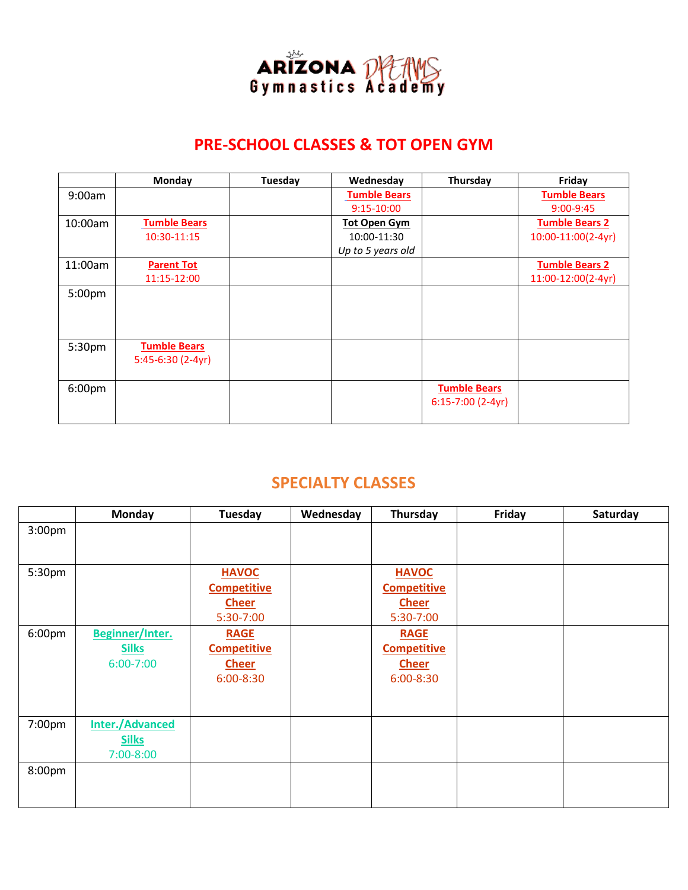

### **PRE-SCHOOL CLASSES & TOT OPEN GYM**

|         | <b>Monday</b>       | Tuesday | Wednesday           | Thursday            | Friday                |
|---------|---------------------|---------|---------------------|---------------------|-----------------------|
| 9:00am  |                     |         | <b>Tumble Bears</b> |                     | <b>Tumble Bears</b>   |
|         |                     |         | $9:15-10:00$        |                     | $9:00 - 9:45$         |
| 10:00am | <b>Tumble Bears</b> |         | <b>Tot Open Gym</b> |                     | <b>Tumble Bears 2</b> |
|         | 10:30-11:15         |         | 10:00-11:30         |                     | 10:00-11:00(2-4yr)    |
|         |                     |         | Up to 5 years old   |                     |                       |
| 11:00am | <b>Parent Tot</b>   |         |                     |                     | <b>Tumble Bears 2</b> |
|         | 11:15-12:00         |         |                     |                     | 11:00-12:00(2-4yr)    |
| 5:00pm  |                     |         |                     |                     |                       |
|         |                     |         |                     |                     |                       |
|         |                     |         |                     |                     |                       |
|         |                     |         |                     |                     |                       |
| 5:30pm  | <b>Tumble Bears</b> |         |                     |                     |                       |
|         | $5:45-6:30(2-4yr)$  |         |                     |                     |                       |
|         |                     |         |                     |                     |                       |
| 6:00pm  |                     |         |                     | <b>Tumble Bears</b> |                       |
|         |                     |         |                     | $6:15-7:00(2-4yr)$  |                       |
|         |                     |         |                     |                     |                       |

### **SPECIALTY CLASSES**

|                    | <b>Monday</b>          | Tuesday            | Wednesday | Thursday           | Friday | Saturday |
|--------------------|------------------------|--------------------|-----------|--------------------|--------|----------|
| 3:00 <sub>pm</sub> |                        |                    |           |                    |        |          |
|                    |                        |                    |           |                    |        |          |
| 5:30pm             |                        | <b>HAVOC</b>       |           | <b>HAVOC</b>       |        |          |
|                    |                        | <b>Competitive</b> |           | <b>Competitive</b> |        |          |
|                    |                        | <b>Cheer</b>       |           | <b>Cheer</b>       |        |          |
|                    |                        | 5:30-7:00          |           | 5:30-7:00          |        |          |
| 6:00pm             | Beginner/Inter.        | <b>RAGE</b>        |           | <b>RAGE</b>        |        |          |
|                    | <b>Silks</b>           | <b>Competitive</b> |           | <b>Competitive</b> |        |          |
|                    | $6:00 - 7:00$          | <b>Cheer</b>       |           | <b>Cheer</b>       |        |          |
|                    |                        | $6:00 - 8:30$      |           | 6:00-8:30          |        |          |
|                    |                        |                    |           |                    |        |          |
|                    |                        |                    |           |                    |        |          |
| 7:00pm             | <b>Inter./Advanced</b> |                    |           |                    |        |          |
|                    | <b>Silks</b>           |                    |           |                    |        |          |
|                    | 7:00-8:00              |                    |           |                    |        |          |
| 8:00pm             |                        |                    |           |                    |        |          |
|                    |                        |                    |           |                    |        |          |
|                    |                        |                    |           |                    |        |          |